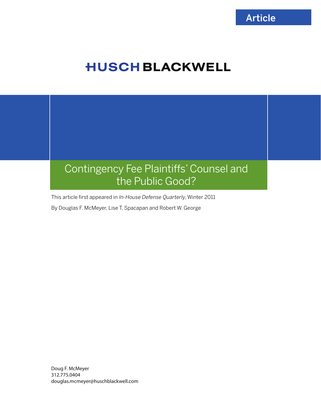# **HUSCH BLACKWELL**

# Contingency Fee Plaintiffs' Counsel and the Public Good?

This article first appeared in In-House Defense Quarterly, Winter 2011

By Douglas F. McMeyer, Lise T. Spacapan and Robert W. George

Doug F. McMeyer 312.775.0404 douglas.mcmeyer@huschblackwell.com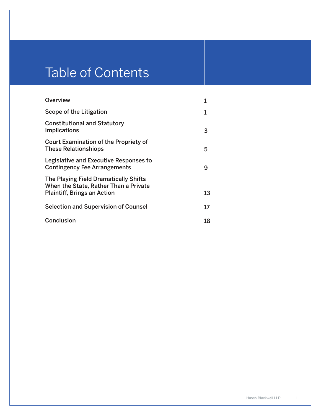# Table of Contents

| <b>Overview</b>                                                                                                      |    |
|----------------------------------------------------------------------------------------------------------------------|----|
| Scope of the Litigation                                                                                              | 1  |
| <b>Constitutional and Statutory</b><br><b>Implications</b>                                                           | 3  |
| <b>Court Examination of the Propriety of</b><br><b>These Relationshiops</b>                                          | 5  |
| Legislative and Executive Responses to<br><b>Contingency Fee Arrangements</b>                                        | 9  |
| The Playing Field Dramatically Shifts<br>When the State, Rather Than a Private<br><b>Plaintiff, Brings an Action</b> | 13 |
| <b>Selection and Supervision of Counsel</b>                                                                          | 17 |
| <b>Conclusion</b>                                                                                                    | 18 |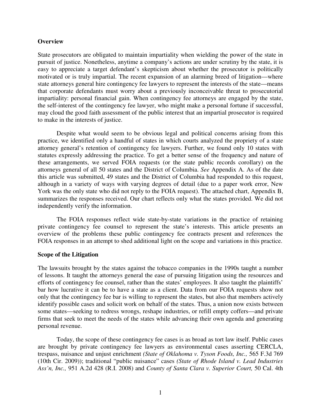#### **Overview**

State prosecutors are obligated to maintain impartiality when wielding the power of the state in pursuit of justice. Nonetheless, anytime a company's actions are under scrutiny by the state, it is easy to appreciate a target defendant's skepticism about whether the prosecutor is politically motivated or is truly impartial. The recent expansion of an alarming breed of litigation—where state attorneys general hire contingency fee lawyers to represent the interests of the state—means that corporate defendants must worry about a previously inconceivable threat to prosecutorial impartiality: personal financial gain. When contingency fee attorneys are engaged by the state, the self-interest of the contingency fee lawyer, who might make a personal fortune if successful, may cloud the good faith assessment of the public interest that an impartial prosecutor is required to make in the interests of justice.

Despite what would seem to be obvious legal and political concerns arising from this practice, we identified only a handful of states in which courts analyzed the propriety of a state attorney general's retention of contingency fee lawyers. Further, we found only 10 states with statutes expressly addressing the practice. To get a better sense of the frequency and nature of these arrangements, we served FOIA requests (or the state public records corollary) on the attorneys general of all 50 states and the District of Columbia. *See* Appendix A. As of the date this article was submitted, 49 states and the District of Columbia had responded to this request, although in a variety of ways with varying degrees of detail (due to a paper work error, New York was the only state who did not reply to the FOIA request). The attached chart, Appendix B, summarizes the responses received. Our chart reflects only what the states provided. We did not independently verify the information.

The FOIA responses reflect wide state-by-state variations in the practice of retaining private contingency fee counsel to represent the state's interests. This article presents an overview of the problems these public contingency fee contracts present and references the FOIA responses in an attempt to shed additional light on the scope and variations in this practice.

#### **Scope of the Litigation**

The lawsuits brought by the states against the tobacco companies in the 1990s taught a number of lessons. It taught the attorneys general the ease of pursuing litigation using the resources and efforts of contingency fee counsel, rather than the states' employees. It also taught the plaintiffs' bar how lucrative it can be to have a state as a client. Data from our FOIA requests show not only that the contingency fee bar is willing to represent the states, but also that members actively identify possible cases and solicit work on behalf of the states. Thus, a union now exists between some states—seeking to redress wrongs, reshape industries, or refill empty coffers—and private firms that seek to meet the needs of the states while advancing their own agenda and generating personal revenue.

Today, the scope of these contingency fee cases is as broad as tort law itself. Public cases are brought by private contingency fee lawyers as environmental cases asserting CERCLA, trespass, nuisance and unjust enrichment *(State of Oklahoma v. Tyson Foods, Inc.,* 565 F.3d 769 (10th Cir. 2009)); traditional "public nuisance" cases *(State of Rhode Island v. Lead Industries Ass'n, Inc.,* 951 A.2d 428 (R.I. 2008) and *County of Santa Clara v. Superior Court,* 50 Cal. 4th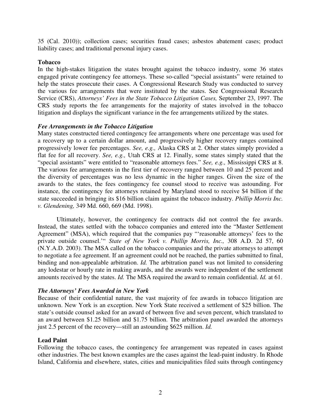35 (Cal. 2010)); collection cases; securities fraud cases; asbestos abatement cases; product liability cases; and traditional personal injury cases.

# **Tobacco**

In the high-stakes litigation the states brought against the tobacco industry, some 36 states engaged private contingency fee attorneys. These so-called "special assistants" were retained to help the states prosecute their cases. A Congressional Research Study was conducted to survey the various fee arrangements that were instituted by the states. See Congressional Research Service (CRS), *Attorneys' Fees in the State Tobacco Litigation Cases,* September 23, 1997. The CRS study reports the fee arrangements for the majority of states involved in the tobacco litigation and displays the significant variance in the fee arrangements utilized by the states.

# *Fee Arrangements in the Tobacco Litigation*

Many states constructed tiered contingency fee arrangements where one percentage was used for a recovery up to a certain dollar amount, and progressively higher recovery ranges contained progressively lower fee percentages. *See, e.g.,* Alaska CRS at 2. Other states simply provided a flat fee for all recovery. *See, e.g.,* Utah CRS at 12. Finally, some states simply stated that the "special assistants" were entitled to "reasonable attorneys fees." *See, e.g.,* Mississippi CRS at 8. The various fee arrangements in the first tier of recovery ranged between 10 and 25 percent and the diversity of percentages was no less dynamic in the higher ranges. Given the size of the awards to the states, the fees contingency fee counsel stood to receive was astounding. For instance, the contingency fee attorneys retained by Maryland stood to receive \$4 billion if the state succeeded in bringing its \$16 billion claim against the tobacco industry. *Phillip Morris Inc. v. Glendening,* 349 Md. 660, 669 (Md. 1998).

Ultimately, however, the contingency fee contracts did not control the fee awards. Instead, the states settled with the tobacco companies and entered into the "Master Settlement Agreement" (MSA), which required that the companies pay "'reasonable attorneys' fees to the private outside counsel.'" *State of New York v. Phillip Morris, Inc.,* 308 A.D. 2d 57, 60 (N.Y.A.D. 2003). The MSA called on the tobacco companies and the private attorneys to attempt to negotiate a fee agreement. If an agreement could not be reached, the parties submitted to final, binding and non-appealable arbitration. *Id.* The arbitration panel was not limited to considering any lodestar or hourly rate in making awards, and the awards were independent of the settlement amounts received by the states. *Id.* The MSA required the award to remain confidential. *Id.* at 61.

# *The Attorneys' Fees Awarded in New York*

Because of their confidential nature, the vast majority of fee awards in tobacco litigation are unknown. New York is an exception. New York State received a settlement of \$25 billion. The state's outside counsel asked for an award of between five and seven percent, which translated to an award between \$1.25 billion and \$1.75 billion. The arbitration panel awarded the attorneys just 2.5 percent of the recovery—still an astounding \$625 million. *Id.*

# **Lead Paint**

Following the tobacco cases, the contingency fee arrangement was repeated in cases against other industries. The best known examples are the cases against the lead-paint industry. In Rhode Island, California and elsewhere, states, cities and municipalities filed suits through contingency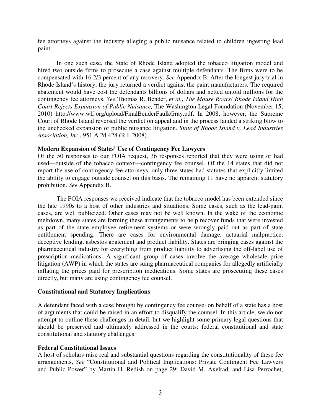fee attorneys against the industry alleging a public nuisance related to children ingesting lead paint.

In one such case, the State of Rhode Island adopted the tobacco litigation model and hired two outside firms to prosecute a case against multiple defendants. The firms were to be compensated with 16 2/3 percent of any recovery. *See* Appendix B. After the longest jury trial in Rhode Island's history, the jury returned a verdict against the paint manufacturers. The required abatement would have cost the defendants billions of dollars and netted untold millions for the contingency fee attorneys. *See* Thomas R. Bender, *et al., The Mouse Roars! Rhode Island High Court Rejects Expansion of Public Nuisance,* The Washington Legal Foundation (November 15, 2010) http://www.wlf.org/upload/FinalBenderFaulkGray.pdf. In 2008, however, the Supreme Court of Rhode Island reversed the verdict on appeal and in the process landed a striking blow to the unchecked expansion of public nuisance litigation. *State of Rhode Island v. Lead Industries Association, Inc.*, 951 A.2d 428 (R.I. 2008).

# **Modern Expansion of States' Use of Contingency Fee Lawyers**

Of the 50 responses to our FOIA request, 36 responses reported that they were using or had used—outside of the tobacco context—contingency fee counsel. Of the 14 states that did not report the use of contingency fee attorneys, only three states had statutes that explicitly limited the ability to engage outside counsel on this basis. The remaining 11 have no apparent statutory prohibition. *See* Appendix B.

The FOIA responses we received indicate that the tobacco model has been extended since the late 1990s to a host of other industries and situations. Some cases, such as the lead-paint cases, are well publicized. Other cases may not be well known. In the wake of the economic meltdown, many states are forming these arrangements to help recover funds that were invested as part of the state employee retirement systems or were wrongly paid out as part of state entitlement spending. There are cases for environmental damage, actuarial malpractice, deceptive lending, asbestos abatement and product liability. States are bringing cases against the pharmaceutical industry for everything from product liability to advertising the off-label use of prescription medications. A significant group of cases involve the average wholesale price litigation (AWP) in which the states are suing pharmaceutical companies for allegedly artificially inflating the prices paid for prescription medications. Some states are prosecuting these cases directly, but many are using contingency fee counsel.

# **Constitutional and Statutory Implications**

A defendant faced with a case brought by contingency fee counsel on behalf of a state has a host of arguments that could be raised in an effort to disqualify the counsel. In this article, we do not attempt to outline these challenges in detail, but we highlight some primary legal questions that should be preserved and ultimately addressed in the courts: federal constitutional and state constitutional and statutory challenges.

# **Federal Constitutional Issues**

A host of scholars raise real and substantial questions regarding the constitutionality of these fee arrangements, *See* "Constitutional and Political Implications: Private Contingent Fee Lawyers and Public Power" by Martin H. Redish on page 29; David M. Axelrad, and Lisa Perrochet,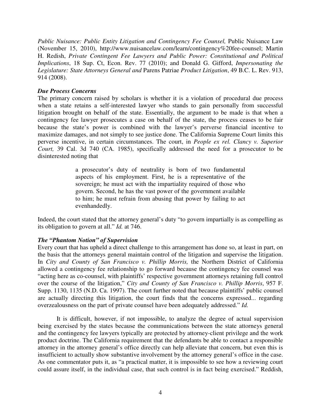*Public Nuisance: Public Entity Litigation and Contingency Fee Counsel, Public Nuisance Law* (November 15, 2010), http://www.nuisancelaw.com/learn/contingency%20fee-counsel; Martin H. Redish, *Private Contingent Fee Lawyers and Public Power: Constitutional and Political Implications*, 18 Sup. Ct, Econ. Rev. 77 (2010); and Donald G. Gifford, *Impersonating the Legislature: State Attorneys General and* Parens Patriae *Product Litigation*, 49 B.C. L. Rev. 913, 914 (2008).

## *Due Process Concerns*

The primary concern raised by scholars is whether it is a violation of procedural due process when a state retains a self-interested lawyer who stands to gain personally from successful litigation brought on behalf of the state. Essentially, the argument to be made is that when a contingency fee lawyer prosecutes a case on behalf of the state, the process ceases to be fair because the state's power is combined with the lawyer's perverse financial incentive to maximize damages, and not simply to see justice done. The California Supreme Court limits this perverse incentive, in certain circumstances. The court, in *People ex rel. Clancy v. Superior Court,* 39 Cal. 3d 740 (CA. 1985), specifically addressed the need for a prosecutor to be disinterested noting that

> a prosecutor's duty of neutrality is born of two fundamental aspects of his employment. First, he is a representative of the sovereign; he must act with the impartiality required of those who govern. Second, he has the vast power of the government available to him; he must refrain from abusing that power by failing to act evenhandedly.

Indeed, the court stated that the attorney general's duty "to govern impartially is as compelling as its obligation to govern at all." *Id.* at 746.

# *The "Phantom Notion" of Supervision*

Every court that has upheld a direct challenge to this arrangement has done so, at least in part, on the basis that the attorneys general maintain control of the litigation and supervise the litigation. In *City and County of San Francisco v. Phillip Morris,* the Northern District of California allowed a contingency fee relationship to go forward because the contingency fee counsel was "acting here as co-counsel, with plaintiffs' respective government attorneys retaining full control over the course of the litigation," *City and County of San Francisco v. Phillip Morris*, 957 F. Supp. 1130, 1135 (N.D. Ca. 1997). The court further noted that because plaintiffs' public counsel are actually directing this litigation, the court finds that the concerns expressed... regarding overzealousness on the part of private counsel have been adequately addressed." *Id.*

It is difficult, however, if not impossible, to analyze the degree of actual supervision being exercised by the states because the communications between the state attorneys general and the contingency fee lawyers typically are protected by attorney-client privilege and the work product doctrine. The California requirement that the defendants be able to contact a responsible attorney in the attorney general's office directly can help alleviate that concern, but even this is insufficient to actually show substantive involvement by the attorney general's office in the case. As one commentator puts it, as "a practical matter, it is impossible to see how a reviewing court could assure itself, in the individual case, that such control is in fact being exercised." Reddish,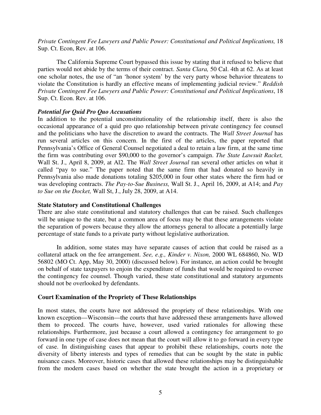*Private Contingent Fee Lawyers and Public Power: Constitutional and Political Implications,* 18 Sup. Ct. Econ, Rev. at 106.

The California Supreme Court bypassed this issue by stating that it refused to believe that parties would not abide by the terms of their contract. *Santa Clara,* 50 Cal. 4th at 62. As at least one scholar notes, the use of "an 'honor system' by the very party whose behavior threatens to violate the Constitution is hardly an effective means of implementing judicial review." *Reddish Private Contingent Fee Lawyers and Public Power: Constitutional and Political Implications*, 18 Sup. Ct. Econ. Rev. at 106.

# *Potential for Quid Pro Quo Accusations*

In addition to the potential unconstitutionality of the relationship itself, there is also the occasional appearance of a quid pro quo relationship between private contingency fee counsel and the politicians who have the discretion to award the contracts. The *Wall Street Journal* has run several articles on this concern. In the first of the articles, the paper reported that Pennsylvania's Office of General Counsel negotiated a deal to retain a law firm, at the same time the firm was contributing over \$90,000 to the governor's campaign. *The State Lawsuit Racket,*  Wall St. J., April 8, 2009, at Al2. The *Wall Street Journal* ran several other articles on what it called "pay to sue." The paper noted that the same firm that had donated so heavily in Pennsylvania also made donations totaling \$205,000 in four other states where the firm had or was developing contracts. *The Pay-to-Sue Business,* Wall St. J., April 16, 2009, at A14; and *Pay to Sue on the Docket,* Wall St, J., July 28, 2009, at A14.

# **State Statutory and Constitutional Challenges**

There are also state constitutional and statutory challenges that can be raised. Such challenges will be unique to the state, but a common area of focus may be that these arrangements violate the separation of powers because they allow the attorneys general to allocate a potentially large percentage of state funds to a private party without legislative authorization.

In addition, some states may have separate causes of action that could be raised as a collateral attack on the fee arrangement. *See, e.g., Kinder v. Nixon,* 2000 WL 684860, No. WD 56802 (MO Ct. App, May 30, 2000) (discussed below). For instance, an action could be brought on behalf of state taxpayers to enjoin the expenditure of funds that would be required to oversee the contingency fee counsel. Though varied, these state constitutional and statutory arguments should not be overlooked by defendants.

# **Court Examination of the Propriety of These Relationships**

In most states, the courts have not addressed the propriety of these relationships. With one known exception—Wisconsin—the courts that have addressed these arrangements have allowed them to proceed. The courts have, however, used varied rationales for allowing these relationships. Furthermore, just because a court allowed a contingency fee arrangement to go forward in one type of case does not mean that the court will allow it to go forward in every type of case. In distinguishing cases that appear to prohibit these relationships, courts note the diversity of liberty interests and types of remedies that can be sought by the state in public nuisance cases. Moreover, historic cases that allowed these relationships may be distinguishable from the modern cases based on whether the state brought the action in a proprietary or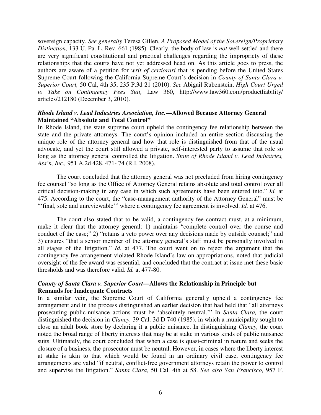sovereign capacity. *See generally* Teresa Gillen, *A Proposed Model of the Sovereign/Proprietary Distinction,* 133 U. Pa. L. Rev. 661 (1985). Clearly, the body of law is *not* well settled and there are very significant constitutional and practical challenges regarding the impropriety of these relationships that the courts have not yet addressed head on. As this article goes to press, the authors are aware of a petition for *writ of certiorari* that is pending before the United States Supreme Court following the California Supreme Court's decision in *County of Santa Clara v. Superior Court,* 50 Cal, 4th 35, 235 P.3d 21 (2010). *See* Abigail Rubenstein, *High Court Urged to Take on Contingency Fees Suit,* Law 360, http://www.law360.com/productliability/ articles/212180 (December 3, 2010).

# *Rhode Island v. Lead Industries Association, Inc.***—Allowed Because Attorney General Maintained "Absolute and Total Control"**

In Rhode Island, the state supreme court upheld the contingency fee relationship between the state and the private attorneys. The court's opinion included an entire section discussing the unique role of the attorney general and how that role is distinguished from that of the usual advocate, and yet the court still allowed a private, self-interested party to assume that role so long as the attorney general controlled the litigation. *State of Rhode Island v. Lead Industries, Ass'n, Inc.,* 951 A.2d 428, 471- 74 (R.I. 2008).

The court concluded that the attorney general was not precluded from hiring contingency fee counsel "so long as the Office of Attorney General retains absolute and total control over all critical decision-making in any case in which such agreements have been entered into." *Id.* at 475. According to the court, the "case-management authority of the Attorney General" must be "'final, sole and unreviewable'" where a contingency fee agreement is involved. *Id.* at 476.

The court also stated that to be valid, a contingency fee contract must, at a minimum, make it clear that the attorney general: 1) maintains "complete control over the course and conduct of the case;" 2) "retains a veto power over any decisions made by outside counsel;" and 3) ensures "that a senior member of the attorney general's staff must be personally involved in all stages of the litigation." *Id.* at 477. The court went on to reject the argument that the contingency fee arrangement violated Rhode Island's law on appropriations, noted that judicial oversight of the fee award was essential, and concluded that the contract at issue met these basic thresholds and was therefore valid. *Id.* at 477-80.

# *County of Santa Clara v. Superior Court***—Allows the Relationship in Principle but Remands for Inadequate Contracts**

In a similar vein, the Supreme Court of California generally upheld a contingency fee arrangement and in the process distinguished an earlier decision that had held that "all attorneys prosecuting public-nuisance actions must be 'absolutely neutral.'" In *Santa Clara,* the court distinguished the decision in *Clancy,* 39 Cal. 3d D 740 (1985), in which a municipality sought to close an adult book store by declaring it a public nuisance. In distinguishing *Clancy,* the court noted the broad range of liberty interests that may be at stake in various kinds of public nuisance suits. Ultimately, the court concluded that when a case is quasi-criminal in nature and seeks the closure of a business, the prosecutor must be neutral. However, in cases where the liberty interest at stake is akin to that which would be found in an ordinary civil case, contingency fee arrangements are valid "if neutral, conflict-free government attorneys retain the power to control and supervise the litigation." *Santa Clara,* 50 Cal. 4th at 58. *See also San Francisco,* 957 F.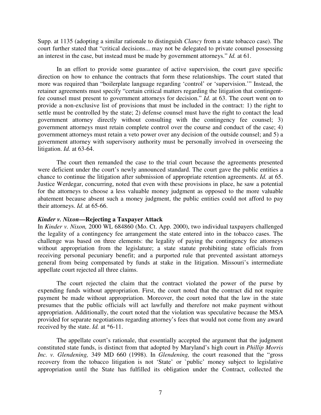Supp. at 1135 (adopting a similar rationale to distinguish *Clancy* from a state tobacco case). The court further stated that "critical decisions... may not be delegated to private counsel possessing an interest in the case, but instead must be made by government attorneys." *Id.* at 61.

In an effort to provide some guarantee of active supervision, the court gave specific direction on how to enhance the contracts that form these relationships. The court stated that more was required than "boilerplate language regarding 'control' or 'supervision.'" Instead, the retainer agreements must specify "certain critical matters regarding the litigation that contingentfee counsel must present to government attorneys for decision." *Id.* at 63. The court went on to provide a non-exclusive list of provisions that must be included in the contract: 1) the right to settle must be controlled by the state; 2) defense counsel must have the right to contact the lead government attorney directly without consulting with the contingency fee counsel; 3) government attorneys must retain complete control over the course and conduct of the case; 4) government attorneys must retain a veto power over any decision of the outside counsel; and 5) a government attorney with supervisory authority must be personally involved in overseeing the litigation. *Id.* at 63-64.

The court then remanded the case to the trial court because the agreements presented were deficient under the court's newly announced standard. The court gave the public entities a chance to continue the litigation after submission of appropriate retention agreements. *Id.* at 65. Justice Werdegar, concurring, noted that even with these provisions in place, he saw a potential for the attorneys to choose a less valuable money judgment as opposed to the more valuable abatement because absent such a money judgment, the public entities could not afford to pay their attorneys. *Id.* at 65-66.

#### *Kinder v. Nixon***—Rejecting a Taxpayer Attack**

In *Kinder v. Nixon,* 2000 WL 684860 (Mo. Ct. App. 2000), two individual taxpayers challenged the legality of a contingency fee arrangement the state entered into in the tobacco cases. The challenge was based on three elements: the legality of paying the contingency fee attorneys without appropriation from the legislature; a state statute prohibiting state officials from receiving personal pecuniary benefit; and a purported rule that prevented assistant attorneys general from being compensated by funds at stake in the litigation. Missouri's intermediate appellate court rejected all three claims.

The court rejected the claim that the contract violated the power of the purse by expending funds without appropriation. First, the court noted that the contract did not require payment be made without appropriation. Moreover, the court noted that the law in the state presumes that the public officials will act lawfully and therefore not make payment without appropriation. Additionally, the court noted that the violation was speculative because the MSA provided for separate negotiations regarding attorney's fees that would not come from any award received by the state. *Id.* at \*6-11.

The appellate court's rationale, that essentially accepted the argument that the judgment constituted state funds, is distinct from that adopted by Maryland's high court in *Phillip Morris Inc. v. Glendening,* 349 MD 660 (1998). In *Glendening,* the court reasoned that the "gross recovery from the tobacco litigation is not 'State' or `public' money subject to legislative appropriation until the State has fulfilled its obligation under the Contract, collected the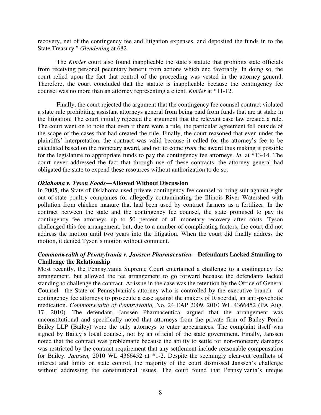recovery, net of the contingency fee and litigation expenses, and deposited the funds in to the State Treasury." *Glendening* at 682.

The *Kinder* court also found inapplicable the state's statute that prohibits state officials from receiving personal pecuniary benefit from actions which end favorably. In doing so, the court relied upon the fact that control of the proceeding was vested in the attorney general. Therefore, the court concluded that the statute is inapplicable because the contingency fee counsel was no more than an attorney representing a client. *Kinder* at \*11-12.

Finally, the court rejected the argument that the contingency fee counsel contract violated a state rule prohibiting assistant attorneys general from being paid from funds that are at stake in the litigation. The court initially rejected the argument that the relevant case law created a rule. The court went on to note that even if there were a rule, the particular agreement fell outside of the scope of the cases that had created the rule. Finally, the court reasoned that even under the plaintiffs' interpretation, the contract was valid because it called for the attorney's fee to be calculated based on the monetary award, and not to come *from* the award thus making it possible for the legislature to appropriate funds to pay the contingency fee attorneys. *Id.* at \*13-14. The court never addressed the fact that through use of these contracts, the attorney general had obligated the state to expend these resources without authorization to do so.

### *Oklahoma v. Tyson Foods***—Allowed Without Discussion**

In 2005, the State of Oklahoma used private-contingency fee counsel to bring suit against eight out-of-state poultry companies for allegedly contaminating the Illinois River Watershed with pollution from chicken manure that had been used by contract farmers as a fertilizer. In the contract between the state and the contingency fee counsel, the state promised to pay its contingency fee attorneys up to 50 percent of all monetary recovery after costs. Tyson challenged this fee arrangement, but, due to a number of complicating factors, the court did not address the motion until two years into the litigation. When the court did finally address the motion, it denied Tyson's motion without comment.

# *Commonwealth of Pennsylvania v. Janssen Pharmaceutica***—Defendants Lacked Standing to Challenge the Relationship**

Most recently, the Pennsylvania Supreme Court entertained a challenge to a contingency fee arrangement, but allowed the fee arrangement to go forward because the defendants lacked standing to challenge the contract. At issue in the case was the retention by the Office of General Counsel—the State of Pennsylvania's attorney who is controlled by the executive branch—of contingency fee attorneys to prosecute a case against the makers of Risoerdal, an anti-psychotic medication. *Commonwealth of Pennsylvania,* No. 24 EAP 2009, 2010 WL 4366452 (PA Aug. 17, 2010). The defendant, Janssen Pharmaceutica, argued that the arrangement was unconstitutional and specifically noted that attorneys from the private firm of Bailey Perrin Bailey LLP (Bailey) were the only attorneys to enter appearances. The complaint itself was signed by Bailey's local counsel, not by an official of the state government. Finally, Janssen noted that the contract was problematic because the ability to settle for non-monetary damages was restricted by the contract requirement that any settlement include reasonable compensation for Bailey. *Janssen,* 2010 WL 4366452 at \*1-2. Despite the seemingly clear-cut conflicts of interest and limits on state control, the majority of the court dismissed Janssen's challenge without addressing the constitutional issues. The court found that Pennsylvania's unique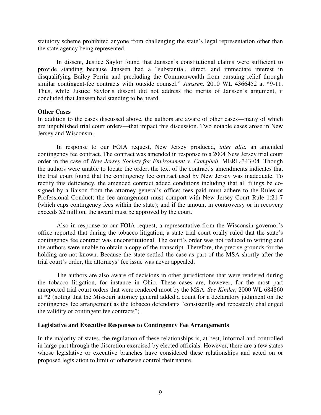statutory scheme prohibited anyone from challenging the state's legal representation other than the state agency being represented.

In dissent, Justice Saylor found that Janssen's constitutional claims were sufficient to provide standing because Janssen had a "substantial, direct, and immediate interest in disqualifying Bailey Perrin and precluding the Commonwealth from pursuing relief through similar contingent-fee contracts with outside counsel." *Janssen,* 2010 WL 4366452 at \*9-11. Thus, while Justice Saylor's dissent did not address the merits of Janssen's argument, it concluded that Janssen had standing to be heard.

#### **Other Cases**

In addition to the cases discussed above, the authors are aware of other cases—many of which are unpublished trial court orders—that impact this discussion. Two notable cases arose in New Jersey and Wisconsin.

In response to our FOIA request, New Jersey produced, *inter alia,* an amended contingency fee contract. The contract was amended in response to a 2004 New Jersey trial court order in the case of *New Jersey Society for Environment v. Campbell,* MERL-343-04. Though the authors were unable to locate the order, the text of the contract's amendments indicates that the trial court found that the contingency fee contract used by New Jersey was inadequate. To rectify this deficiency, the amended contract added conditions including that all filings be cosigned by a liaison from the attorney general's office; fees paid must adhere to the Rules of Professional Conduct; the fee arrangement must comport with New Jersey Court Rule 1:21-7 (which caps contingency fees within the state); and if the amount in controversy or in recovery exceeds \$2 million, the award must be approved by the court.

Also in response to our FOIA request, a representative from the Wisconsin governor's office reported that during the tobacco litigation, a state trial court orally ruled that the state's contingency fee contract was unconstitutional. The court's order was not reduced to writing and the authors were unable to obtain a copy of the transcript. Therefore, the precise grounds for the holding are not known. Because the state settled the case as part of the MSA shortly after the trial court's order, the attorneys' fee issue was never appealed.

The authors are also aware of decisions in other jurisdictions that were rendered during the tobacco litigation, for instance in Ohio. These cases are, however, for the most part unreported trial court orders that were rendered moot by the MSA. *See Kinder,* 2000 WL 684860 at \*2 (noting that the Missouri attorney general added a count for a declaratory judgment on the contingency fee arrangement as the tobacco defendants "consistently and repeatedly challenged the validity of contingent fee contracts").

#### **Legislative and Executive Responses to Contingency Fee Arrangements**

In the majority of states, the regulation of these relationships is, at best, informal and controlled in large part through the discretion exercised by elected officials. However, there are a few states whose legislative or executive branches have considered these relationships and acted on or proposed legislation to limit or otherwise control their nature.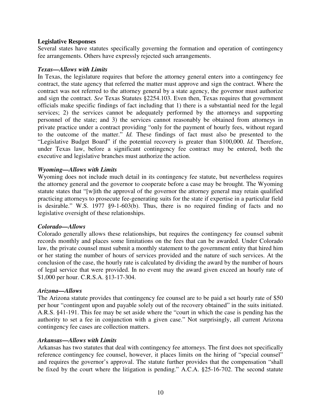## **Legislative Responses**

Several states have statutes specifically governing the formation and operation of contingency fee arrangements. Others have expressly rejected such arrangements.

#### *Texas—Allows with Limits*

In Texas, the legislature requires that before the attorney general enters into a contingency fee contract, the state agency that referred the matter must approve and sign the contract. Where the contract was not referred to the attorney general by a state agency, the governor must authorize and sign the contract. *See* Texas Statutes §2254.103. Even then, Texas requires that government officials make specific findings of fact including that 1) there is a substantial need for the legal services; 2) the services cannot be adequately performed by the attorneys and supporting personnel of the state; and 3) the services cannot reasonably be obtained from attorneys in private practice under a contract providing "only for the payment of hourly fees, without regard to the outcome of the matter." *Id.* These findings of fact must also be presented to the "Legislative Budget Board" if the potential recovery is greater than \$100,000. *Id.* Therefore, under Texas law, before a significant contingency fee contract may be entered, both the executive and legislative branches must authorize the action.

### *Wyoming—Allows with Limits*

Wyoming does not include much detail in its contingency fee statute, but nevertheless requires the attorney general and the governor to cooperate before a case may be brought. The Wyoming statute states that "[w]ith the approval of the governor the attorney general may retain qualified practicing attorneys to prosecute fee-generating suits for the state if expertise in a particular field is desirable." W.S. 1977 §9-1-603(b). Thus, there is no required finding of facts and no legislative oversight of these relationships.

# *Colorado—Allows*

Colorado generally allows these relationships, but requires the contingency fee counsel submit records monthly and places some limitations on the fees that can be awarded. Under Colorado law, the private counsel must submit a monthly statement to the government entity that hired him or her stating the number of hours of services provided and the nature of such services. At the conclusion of the case, the hourly rate is calculated by dividing the award by the number of hours of legal service that were provided. In no event may the award given exceed an hourly rate of \$1,000 per hour. C.R.S.A. §13-17-304.

#### *Arizona—Allows*

The Arizona statute provides that contingency fee counsel are to be paid a set hourly rate of \$50 per hour "contingent upon and payable solely out of the recovery obtained" in the suits initiated. A.R.S. §41-191. This fee may be set aside where the "court in which the case is pending has the authority to set a fee in conjunction with a given case." Not surprisingly, all current Arizona contingency fee cases are collection matters.

#### *Arkansas—Allows with Limits*

Arkansas has two statutes that deal with contingency fee attorneys. The first does not specifically reference contingency fee counsel, however, it places limits on the hiring of "special counsel" and requires the governor's approval. The statute further provides that the compensation "shall be fixed by the court where the litigation is pending." A.C.A. §25-16-702. The second statute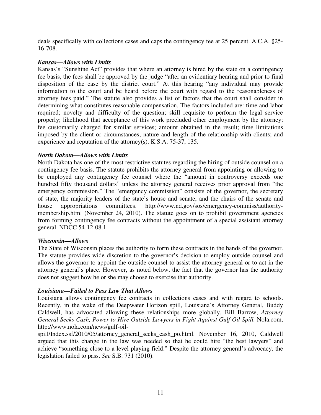deals specifically with collections cases and caps the contingency fee at 25 percent. A.C.A. §25- 16-708.

## *Kansas—Allows with Limits*

Kansas's "Sunshine Act" provides that where an attorney is hired by the state on a contingency fee basis, the fees shall be approved by the judge "after an evidentiary hearing and prior to final disposition of the case by the district court." At this hearing "any individual may provide information to the court and be heard before the court with regard to the reasonableness of attorney fees paid." The statute also provides a list of factors that the court shall consider in determining what constitutes reasonable compensation. The factors included are: time and labor required; novelty and difficulty of the question; skill requisite to perform the legal service properly; likelihood that acceptance of this work precluded other employment by the attorney; fee customarily charged for similar services; amount obtained in the result; time limitations imposed by the client or circumstances; nature and length of the relationship with clients; and experience and reputation of the attorney(s). K.S.A. 75-37, 135.

# *North Dakota—Allows with Limits*

North Dakota has one of the most restrictive statutes regarding the hiring of outside counsel on a contingency fee basis. The statute prohibits the attorney general from appointing or allowing to be employed any contingency fee counsel where the "amount in controversy exceeds one hundred fifty thousand dollars" unless the attorney general receives prior approval from "the emergency commission." The "emergency commission" consists of the governor, the secretary of state, the majority leaders of the state's house and senate, and the chairs of the senate and house appropriations committees. http://www.nd.gov/sos/emergency-commiss/authoritymembership.html (November 24, 2010). The statute goes on to prohibit government agencies from forming contingency fee contracts without the appointment of a special assistant attorney general. NDCC 54-12-08.1.

#### *Wisconsin—Allows*

The State of Wisconsin places the authority to form these contracts in the hands of the governor. The statute provides wide discretion to the governor's decision to employ outside counsel and allows the governor to appoint the outside counsel to assist the attorney general or to act in the attorney general's place. However, as noted below, the fact that the governor has the authority does not suggest how he or she may choose to exercise that authority.

# *Louisiana—Failed to Pass Law That Allows*

Louisiana allows contingency fee contracts in collections cases and with regard to schools. Recently, in the wake of the Deepwater Horizon spill, Louisiana's Attorney General, Buddy Caldwell, has advocated allowing these relationships more globally. Bill Barrow, *Attorney General Seeks Cash, Power to Hire Outside Lawyers in Fight Against Gulf Oil Spill,* Nola.com, http://www.nola.com/news/gulf-oil-

spill/Index.ssf/2010/05/attorney\_general\_seeks\_cash\_po.html. November 16, 2010, Caldwell argued that this change in the law was needed so that he could hire "the best lawyers" and achieve "something close to a level playing field." Despite the attorney general's advocacy, the legislation failed to pass. *See* S.B. 731 (2010).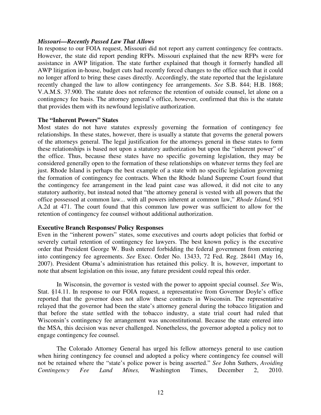#### *Missouri—Recently Passed Law That Allows*

In response to our FOIA request, Missouri did not report any current contingency fee contracts. However, the state did report pending RFPs. Missouri explained that the new RFPs were for assistance in AWP litigation. The state further explained that though it formerly handled all AWP litigation in-house, budget cuts had recently forced changes to the office such that it could no longer afford to bring these cases directly. Accordingly, the state reported that the legislature recently changed the law to allow contingency fee arrangements. *See* S.B. 844; H.B. 1868; V.A.M.S. 37.900. The statute does not reference the retention of outside counsel, let alone on a contingency fee basis. The attorney general's office, however, confirmed that this is the statute that provides them with its newfound legislative authorization.

### **The "Inherent Powers" States**

Most states do not have statutes expressly governing the formation of contingency fee relationships. In these states, however, there is usually a statute that governs the general powers of the attorneys general. The legal justification for the attorneys general in these states to form these relationships is based not upon a statutory authorization but upon the "inherent power" of the office. Thus, because these states have no specific governing legislation, they may be considered generally open to the formation of these relationships on whatever terms they feel are just. Rhode Island is perhaps the best example of a state with no specific legislation governing the formation of contingency fee contracts. When the Rhode Island Supreme Court found that the contingency fee arrangement in the lead paint case was allowed, it did not cite to any statutory authority, but instead noted that "the attorney general is vested with all powers that the office possessed at common law... with all powers inherent at common law," *Rhode Island,* 951 A.2d at 471. The court found that this common law power was sufficient to allow for the retention of contingency fee counsel without additional authorization.

# **Executive Branch Responses/ Policy Responses**

Even in the "inherent powers" states, some executives and courts adopt policies that forbid or severely curtail retention of contingency fee lawyers. The best known policy is the executive order that President George W. Bush entered forbidding the federal government from entering into contingency fee agreements. *See* Exec. Order No. 13433, 72 Fed. Reg. 28441 (May 16, 2007). President Obama's administration has retained this policy. It is, however, important to note that absent legislation on this issue, any future president could repeal this order.

In Wisconsin, the governor is vested with the power to appoint special counsel. *See* Wis, Stat. §14.11. In response to our FOIA request, a representative from Governor Doyle's office reported that the governor does not allow these contracts in Wisconsin. The representative relayed that the governor had been the state's attorney general during the tobacco litigation and that before the state settled with the tobacco industry, a state trial court had ruled that Wisconsin's contingency fee arrangement was unconstitutional. Because the state entered into the MSA, this decision was never challenged. Nonetheless, the governor adopted a policy not to engage contingency fee counsel.

The Colorado Attorney General has urged his fellow attorneys general to use caution when hiring contingency fee counsel and adopted a policy where contingency fee counsel will not be retained where the "state's police power is being asserted." *See* John Suthers, *Avoiding Contingency Fee Land Mines,* Washington Times, December 2, 2010.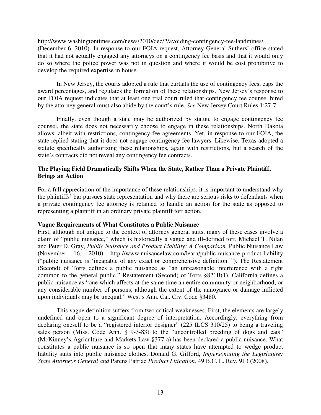http://www.washingtontimes.com/news/2010/dec/2/avoiding-contingency-fee-landmines/ (December 6, 2010). In response to our FOIA request, Attorney General Suthers' office stated that it had not actually engaged any attorneys on a contingency fee basis and that it would only do so where the police power was not in question and where it would be cost prohibitive to develop the required expertise in house.

In New Jersey, the courts adopted a rule that curtails the use of contingency fees, caps the award percentages, and regulates the formation of these relationships. New Jersey's response to our FOIA request indicates that at least one trial court ruled that contingency fee counsel hired by the attorney general must also abide by the court's rule. *See* New Jersey Court Rules 1:27-7.

Finally, even though a state may be authorized by statute to engage contingency fee counsel, the state does not necessarily choose to engage in these relationships. North Dakota allows, albeit with restrictions, contingency fee agreements. Yet, in response to our FOIA, the state replied stating that it does not engage contingency fee lawyers. Likewise, Texas adopted a statute specifically authorizing these relationships, again with restrictions, but a search of the state's contracts did not reveal any contingency fee contracts.

# **The Playing Field Dramatically Shifts When the State, Rather Than a Private Plaintiff, Brings an Action**

For a full appreciation of the importance of these relationships, it is important to understand why the plaintiffs' bar pursues state representation and why there are serious risks to defendants when a private contingency fee attorney is retained to handle an action for the state as opposed to representing a plaintiff in an ordinary private plaintiff tort action.

# **Vague Requirements of What Constitutes a Public Nuisance**

First, although not unique to the context of attorney general suits, many of these cases involve a claim of "public nuisance," which is historically a vague and ill-defined tort. Michael T. Nilan and Peter D. Gray, *Public Nuisance and Product Liability: A Comparison,* Public Nuisance Law (November 16, 2010) http://www.nuisancelaw.com/learn/public-nuisance-product-liability ("public nuisance is 'incapable of any exact or comprehensive definition.'"). The Restatement (Second) of Torts defines a public nuisance as "an unreasonable interference with a right common to the general public." Restatement (Second) of Torts §821B(1). California defines a public nuisance as "one which affects at the same time an entire community or neighborhood, or any considerable number of persons, although the extent of the annoyance or damage inflicted upon individuals may be unequal." West's Ann. Cal. Civ. Code §3480.

This vague definition suffers from two critical weaknesses. First, the elements are largely undefined and open to a significant degree of interpretation. Accordingly, everything from declaring oneself to be a "registered interior designer" (225 ILCS 310/25) to being a traveling sales person (Miss. Code Ann. §19-3-83) to the "uncontrolled breeding of dogs and cats" (McKinney's Agriculture and Markets Law §377-a) has been declared a public nuisance. What constitutes a public nuisance is so open that many states have attempted to wedge product liability suits into public nuisance clothes. Donald G. Gifford, *Impersonating the Legislature: State Attorneys General and* Parens Patriae *Product Litigation,* 49 B.C. L. Rev. 913 (2008).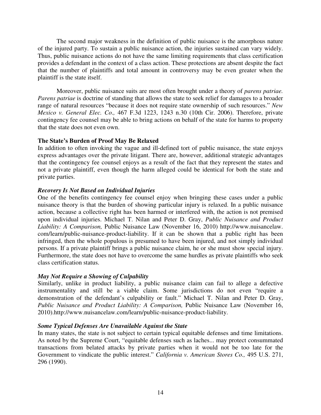The second major weakness in the definition of public nuisance is the amorphous nature of the injured party. To sustain a public nuisance action, the injuries sustained can vary widely. Thus, public nuisance actions do not have the same limiting requirements that class certification provides a defendant in the context of a class action. These protections are absent despite the fact that the number of plaintiffs and total amount in controversy may be even greater when the plaintiff is the state itself.

Moreover, public nuisance suits are most often brought under a theory of *parens patriae. Parens patriae* is doctrine of standing that allows the state to seek relief for damages to a broader range of natural resources "because it does not require state ownership of such resources." *New Mexico v. General Elec. Co.,* 467 F.3d 1223, 1243 n.30 (10th Cir. 2006). Therefore, private contingency fee counsel may be able to bring actions on behalf of the state for harms to property that the state does not even own.

# **The State's Burden of Proof May Be Relaxed**

In addition to often invoking the vague and ill-defined tort of public nuisance, the state enjoys express advantages over the private litigant. There are, however, additional strategic advantages that the contingency fee counsel enjoys as a result of the fact that they represent the states and not a private plaintiff, even though the harm alleged could be identical for both the state and private parties.

# *Recovery Is Not Based on Individual Injuries*

One of the benefits contingency fee counsel enjoy when bringing these cases under a public nuisance theory is that the burden of showing particular injury is relaxed. In a public nuisance action, because a collective right has been harmed or interfered with, the action is not premised upon individual injuries. Michael T. Nilan and Peter D. Gray, *Public Nuisance and Product Liability: A Comparison,* Public Nuisance Law (November 16, 2010) http://www.nuisancelaw. com/learn/public-nuisance-product-liability. If it can be shown that a public right has been infringed, then the whole populous is presumed to have been injured, and not simply individual persons. If a private plaintiff brings a public nuisance claim, he or she must show special injury. Furthermore, the state does not have to overcome the same hurdles as private plaintiffs who seek class certification status.

# *May Not Require a Showing of Culpability*

Similarly, unlike in product liability, a public nuisance claim can fail to allege a defective instrumentality and still be a viable claim. Some jurisdictions do not even "require a demonstration of the defendant's culpability or fault." Michael T. Nilan and Peter D. Gray, *Public Nuisance and Product Liability: A Comparison, Public Nuisance Law (November 16,* 2010).http://www.nuisancelaw.com/learn/public-nuisance-product-liability.

# *Some Typical Defenses Are Unavailable Against the State*

In many states, the state is not subject to certain typical equitable defenses and time limitations. As noted by the Supreme Court, "equitable defenses such as laches... may protect consummated transactions from belated attacks by private parties when it would not be too late for the Government to vindicate the public interest." *California v. American Stores Co.,* 495 U.S. 271, 296 (1990).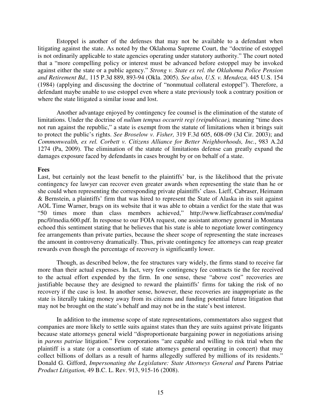Estoppel is another of the defenses that may not be available to a defendant when litigating against the state. As noted by the Oklahoma Supreme Court, the "doctrine of estoppel is not ordinarily applicable to state agencies operating under statutory authority." The court noted that a "more compelling policy or interest must be advanced before estoppel may be invoked against either the state or a public agency." *Strong v. State ex rel. the Oklahoma Police Pension and Retirement Bd.,* 115 P.3d 889, 893-94 (Okla. 2005). *See also, U.S. v. Mendoza,* 445 U.S. 154 (1984) (applying and discussing the doctrine of "nonmutual collateral estoppel"). Therefore, a defendant maybe unable to use estoppel even where a state previously took a contrary position or where the state litigated a similar issue and lost.

Another advantage enjoyed by contingency fee counsel is the elimination of the statute of limitations. Under the doctrine of *nullum tempus occurrit regi (reipublicae),* meaning "time does not run against the republic," a state is exempt from the statute of limitations when it brings suit to protect the public's rights. *See Broselow v. Fisher,* 319 F.3d 605, 608-09 (3d Cir. 2003); and *Commonwealth, ex rel. Corbett v. Citizens Alliance for Better Neighborhoods, Inc.*, 983 A.2d 1274 (Pa, 2009). The elimination of the statute of limitations defense can greatly expand the damages exposure faced by defendants in cases brought by or on behalf of a state.

### **Fees**

Last, but certainly not the least benefit to the plaintiffs' bar, is the likelihood that the private contingency fee lawyer can recover even greater awards when representing the state than he or she could when representing the corresponding private plaintiffs' class. Lieff, Cabraser, Heimann & Bernstein, a plaintiffs' firm that was hired to represent the State of Alaska in its suit against AOL Time Warner, brags on its website that it was able to obtain a verdict for the state that was "50 times more than class members achieved," http://www.lieffcabraser.com/media/ pnc/0/media.600.pdf. In response to our FOIA request, one assistant attorney general in Montana echoed this sentiment stating that he believes that his state is able to negotiate lower contingency fee arrangements than private parties, because the sheer scope of representing the state increases the amount in controversy dramatically. Thus, private contingency fee attorneys can reap greater rewards even though the percentage of recovery is significantly lower.

Though, as described below, the fee structures vary widely, the firms stand to receive far more than their actual expenses. In fact, very few contingency fee contracts tie the fee received to the actual effort expended by the firm. In one sense, these "above cost" recoveries are justifiable because they are designed to reward the plaintiffs' firms for taking the risk of no recovery if the case is lost. In another sense, however, these recoveries are inappropriate as the state is literally taking money away from its citizens and funding potential future litigation that may not be brought on the state's behalf and may not be in the state's best interest.

In addition to the immense scope of state representations, commentators also suggest that companies are more likely to settle suits against states than they are suits against private litigants because state attorneys general wield "disproportionate bargaining power in negotiations arising in *parens patriae* litigation." Few corporations "are capable and willing to risk trial when the plaintiff is a state (or a consortium of state attorneys general operating in concert) that may collect billions of dollars as a result of harms allegedly suffered by millions of its residents." Donald G. Gifford, *Impersonating the Legislature: State Attorneys General and Parens Patriae Product Litigation,* 49 B.C. L. Rev. 913, 915-16 (2008).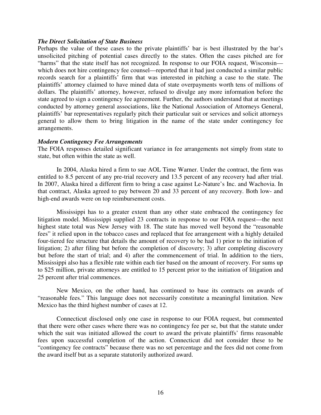#### *The Direct Solicitation of State Business*

Perhaps the value of these cases to the private plaintiffs' bar is best illustrated by the bar's unsolicited pitching of potential cases directly to the states. Often the cases pitched are for "harms" that the state itself has not recognized. In response to our FOIA request, Wisconsin which does not hire contingency fee counsel—reported that it had just conducted a similar public records search for a plaintiffs' firm that was interested in pitching a case to the state. The plaintiffs' attorney claimed to have mined data of state overpayments worth tens of millions of dollars. The plaintiffs' attorney, however, refused to divulge any more information before the state agreed to sign a contingency fee agreement. Further, the authors understand that at meetings conducted by attorney general associations, like the National Association of Attorneys General, plaintiffs' bar representatives regularly pitch their particular suit or services and solicit attorneys general to allow them to bring litigation in the name of the state under contingency fee arrangements.

#### *Modern Contingency Fee Arrangements*

The FOIA responses detailed significant variance in fee arrangements not simply from state to state, but often within the state as well.

In 2004, Alaska hired a firm to sue AOL Time Warner. Under the contract, the firm was entitled to 8.5 percent of any pre-trial recovery and 13.5 percent of any recovery had after trial. In 2007, Alaska hired a different firm to bring a case against Le-Nature's Inc. and Wachovia. In that contract, Alaska agreed to pay between 20 and 33 percent of any recovery. Both low- and high-end awards were on top reimbursement costs.

Mississippi has to a greater extent than any other state embraced the contingency fee litigation model. Mississippi supplied 23 contracts in response to our FOIA request—the next highest state total was New Jersey with 18. The state has moved well beyond the "reasonable fees" it relied upon in the tobacco cases and replaced that fee arrangement with a highly detailed four-tiered fee structure that details the amount of recovery to be had 1) prior to the initiation of litigation; 2) after filing but before the completion of discovery; 3) after completing discovery but before the start of trial; and 4) after the commencement of trial. In addition to the tiers, Mississippi also has a flexible rate within each tier based on the amount of recovery. For sums up to \$25 million, private attorneys are entitled to 15 percent prior to the initiation of litigation and 25 percent after trial commences.

New Mexico, on the other hand, has continued to base its contracts on awards of "reasonable fees." This language does not necessarily constitute a meaningful limitation. New Mexico has the third highest number of cases at 12.

Connecticut disclosed only one case in response to our FOIA request, but commented that there were other cases where there was no contingency fee per se, but that the statute under which the suit was initiated allowed the court to award the private plaintiffs' firms reasonable fees upon successful completion of the action. Connecticut did not consider these to be "contingency fee contracts" because there was no set percentage and the fees did not come from the award itself but as a separate statutorily authorized award.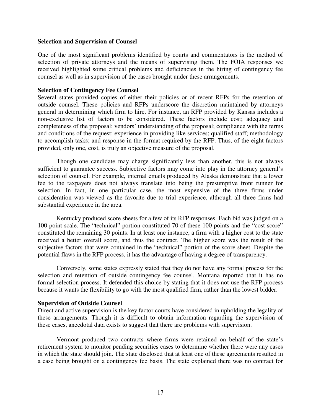#### **Selection and Supervision of Counsel**

One of the most significant problems identified by courts and commentators is the method of selection of private attorneys and the means of supervising them. The FOIA responses we received highlighted some critical problems and deficiencies in the hiring of contingency fee counsel as well as in supervision of the cases brought under these arrangements.

#### **Selection of Contingency Fee Counsel**

Several states provided copies of either their policies or of recent RFPs for the retention of outside counsel. These policies and RFPs underscore the discretion maintained by attorneys general in determining which firm to hire. For instance, an RFP provided by Kansas includes a non-exclusive list of factors to be considered. These factors include cost; adequacy and completeness of the proposal; vendors' understanding of the proposal; compliance with the terms and conditions of the request; experience in providing like services; qualified staff; methodology to accomplish tasks; and response in the format required by the RFP. Thus, of the eight factors provided, only one, cost, is truly an objective measure of the proposal.

Though one candidate may charge significantly less than another, this is not always sufficient to guarantee success. Subjective factors may come into play in the attorney general's selection of counsel. For example, internal emails produced by Alaska demonstrate that a lower fee to the taxpayers does not always translate into being the presumptive front runner for selection. In fact, in one particular case, the most expensive of the three firms under consideration was viewed as the favorite due to trial experience, although all three firms had substantial experience in the area.

Kentucky produced score sheets for a few of its RFP responses. Each bid was judged on a 100 point scale. The "technical" portion constituted 70 of these 100 points and the "cost score" constituted the remaining 30 points. In at least one instance, a firm with a higher cost to the state received a better overall score, and thus the contract. The higher score was the result of the subjective factors that were contained in the "technical" portion of the score sheet. Despite the potential flaws in the RFP process, it has the advantage of having a degree of transparency.

Conversely, some states expressly stated that they do not have any formal process for the selection and retention of outside contingency fee counsel. Montana reported that it has no formal selection process. It defended this choice by stating that it does not use the RFP process because it wants the flexibility to go with the most qualified firm, rather than the lowest bidder.

#### **Supervision of Outside Counsel**

Direct and active supervision is the key factor courts have considered in upholding the legality of these arrangements. Though it is difficult to obtain information regarding the supervision of these cases, anecdotal data exists to suggest that there are problems with supervision.

Vermont produced two contracts where firms were retained on behalf of the state's retirement system to monitor pending securities cases to determine whether there were any cases in which the state should join. The state disclosed that at least one of these agreements resulted in a case being brought on a contingency fee basis. The state explained there was no contract for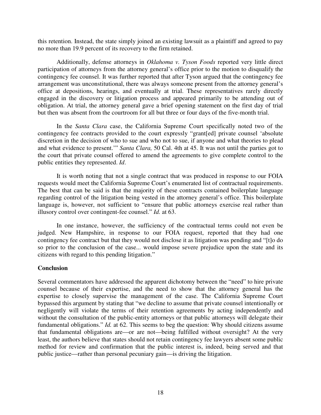this retention. Instead, the state simply joined an existing lawsuit as a plaintiff and agreed to pay no more than 19.9 percent of its recovery to the firm retained.

Additionally, defense attorneys in *Oklahoma v. Tyson Foods* reported very little direct participation of attorneys from the attorney general's office prior to the motion to disqualify the contingency fee counsel. It was further reported that after Tyson argued that the contingency fee arrangement was unconstitutional, there was always someone present from the attorney general's office at depositions, hearings, and eventually at trial. These representatives rarely directly engaged in the discovery or litigation process and appeared primarily to be attending out of obligation. At trial, the attorney general gave a brief opening statement on the first day of trial but then was absent from the courtroom for all but three or four days of the five-month trial.

In the *Santa Clara* case, the California Supreme Court specifically noted two of the contingency fee contracts provided to the court expressly "grant[ed] private counsel 'absolute discretion in the decision of who to sue and who not to sue, if anyone and what theories to plead and what evidence to present.'" *Santa Clara,* 50 Cal. 4th at 45. It was not until the parties got to the court that private counsel offered to amend the agreements to give complete control to the public entities they represented. *Id*.

It is worth noting that not a single contract that was produced in response to our FOIA requests would meet the California Supreme Court's enumerated list of contractual requirements. The best that can be said is that the majority of these contracts contained boilerplate language regarding control of the litigation being vested in the attorney general's office. This boilerplate language is, however, not sufficient to "ensure that public attorneys exercise real rather than illusory control over contingent-fee counsel." *Id.* at 63.

In one instance, however, the sufficiency of the contractual terms could not even be judged. New Hampshire, in response to our FOIA request, reported that they had one contingency fee contract but that they would not disclose it as litigation was pending and "[t]o do so prior to the conclusion of the case... would impose severe prejudice upon the state and its citizens with regard to this pending litigation."

# **Conclusion**

Several commentators have addressed the apparent dichotomy between the "need" to hire private counsel because of their expertise, and the need to show that the attorney general has the expertise to closely supervise the management of the case. The California Supreme Court bypassed this argument by stating that "we decline to assume that private counsel intentionally or negligently will violate the terms of their retention agreements by acting independently and without the consultation of the public-entity attorneys or that public attorneys will delegate their fundamental obligations." *Id.* at 62. This seems to beg the question: Why should citizens assume that fundamental obligations are—or are not—being fulfilled without oversight? At the very least, the authors believe that states should not retain contingency fee lawyers absent some public method for review and confirmation that the public interest is, indeed, being served and that public justice—rather than personal pecuniary gain—is driving the litigation.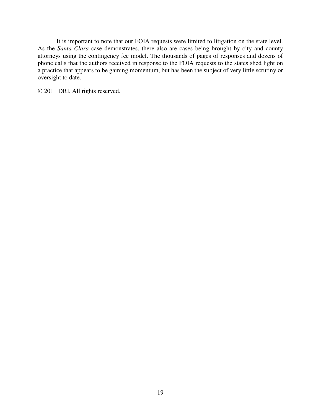It is important to note that our FOIA requests were limited to litigation on the state level. As the *Santa Clara* case demonstrates, there also are cases being brought by city and county attorneys using the contingency fee model. The thousands of pages of responses and dozens of phone calls that the authors received in response to the FOIA requests to the states shed light on a practice that appears to be gaining momentum, but has been the subject of very little scrutiny or oversight to date.

© 2011 DRI. All rights reserved.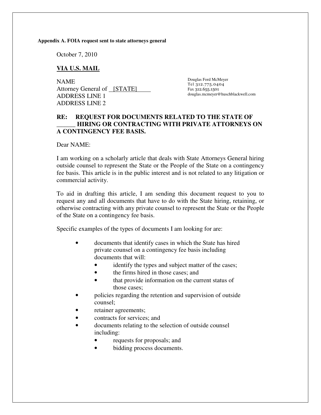**Appendix A. FOIA request sent to state attorneys general** 

October 7, 2010

### **VIA U.S. MAIL**

NAME Attorney General of [STATE] ADDRESS LINE 1 ADDRESS LINE 2

Douglas Ford McMeyer Tel 312.775.0404 Fax 312.655.1501 douglas.mcmeyer@huschblackwell.com

# **RE: REQUEST FOR DOCUMENTS RELATED TO THE STATE OF \_\_\_\_\_\_ HIRING OR CONTRACTING WITH PRIVATE ATTORNEYS ON A CONTINGENCY FEE BASIS.**

Dear NAME:

I am working on a scholarly article that deals with State Attorneys General hiring outside counsel to represent the State or the People of the State on a contingency fee basis. This article is in the public interest and is not related to any litigation or commercial activity.

To aid in drafting this article, I am sending this document request to you to request any and all documents that have to do with the State hiring, retaining, or otherwise contracting with any private counsel to represent the State or the People of the State on a contingency fee basis.

Specific examples of the types of documents I am looking for are:

- documents that identify cases in which the State has hired private counsel on a contingency fee basis including documents that will:
	- identify the types and subject matter of the cases;
	- the firms hired in those cases; and
	- that provide information on the current status of those cases;
- policies regarding the retention and supervision of outside counsel;
- retainer agreements;
- contracts for services; and
- documents relating to the selection of outside counsel including:
	- requests for proposals; and
	- bidding process documents.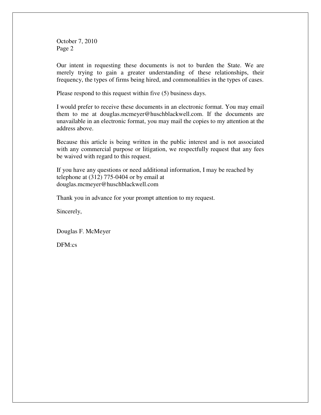October 7, 2010 Page 2

Our intent in requesting these documents is not to burden the State. We are merely trying to gain a greater understanding of these relationships, their frequency, the types of firms being hired, and commonalities in the types of cases.

Please respond to this request within five (5) business days.

I would prefer to receive these documents in an electronic format. You may email them to me at douglas.mcmeyer@huschblackwell.com. If the documents are unavailable in an electronic format, you may mail the copies to my attention at the address above.

Because this article is being written in the public interest and is not associated with any commercial purpose or litigation, we respectfully request that any fees be waived with regard to this request.

If you have any questions or need additional information, I may be reached by telephone at (312) 775-0404 or by email at douglas.mcmeyer@huschblackwell.com

Thank you in advance for your prompt attention to my request.

Sincerely,

Douglas F. McMeyer

DFM:cs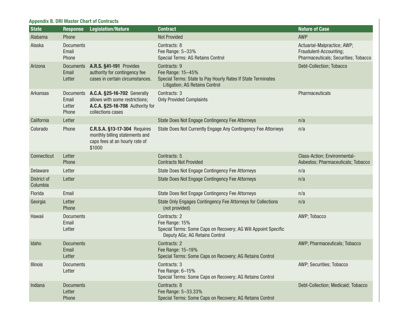# **Appendix B. DRI Master Chart of Contracts**

| <b>State</b>            | <b>Response</b>                     | <b>Legislation/Nature</b>                                                                                                       | <b>Contract</b>                                                                                                                     | <b>Nature of Case</b>                                                                         |
|-------------------------|-------------------------------------|---------------------------------------------------------------------------------------------------------------------------------|-------------------------------------------------------------------------------------------------------------------------------------|-----------------------------------------------------------------------------------------------|
| Alabama                 | Phone                               |                                                                                                                                 | <b>Not Provided</b>                                                                                                                 | <b>AWP</b>                                                                                    |
| Alaska                  | <b>Documents</b><br>Email<br>Phone  |                                                                                                                                 | Contracts: 8<br>Fee Range: 5-33%<br>Special Terms: AG Retains Control                                                               | Actuarial-Malpractice; AWP;<br>Fraudulent-Accounting;<br>Pharmaceuticals; Securities; Tobacco |
| Arizona                 | Email<br>Letter                     | Documents A.R.S. §41-191 Provides<br>authority for contingency fee<br>cases in certain circumstances.                           | Contracts: 9<br>Fee Range: 15-45%<br>Special Terms: State to Pay Hourly Rates If State Terminates<br>Litigation; AG Retains Control | Debt-Collection; Tobacco                                                                      |
| Arkansas                | Email<br>Letter<br>Phone            | Documents A.C.A. §25-16-702 Generally<br>allows with some restrictions;<br>A.C.A. §25-16-708 Authority for<br>collections cases | Contracts: 3<br><b>Only Provided Complaints</b>                                                                                     | Pharmaceuticals                                                                               |
| California              | Letter                              |                                                                                                                                 | State Does Not Engage Contingency Fee Attorneys                                                                                     | n/a                                                                                           |
| Colorado                | Phone                               | C.R.S.A. §13-17-304 Requires<br>monthly billing statements and<br>caps fees at an hourly rate of<br>\$1000                      | State Does Not Currently Engage Any Contingency Fee Attorneys                                                                       | n/a                                                                                           |
| Connecticut             | Letter<br>Phone                     |                                                                                                                                 | Contracts: 5<br><b>Contracts Not Provided</b>                                                                                       | Class-Action; Environmental-<br>Asbestos; Pharmaceuticals; Tobacco                            |
| Delaware                | Letter                              |                                                                                                                                 | State Does Not Engage Contingency Fee Attorneys                                                                                     | n/a                                                                                           |
| District of<br>Columbia | Letter                              |                                                                                                                                 | State Does Not Engage Contingency Fee Attorneys                                                                                     | n/a                                                                                           |
| Florida                 | Email                               |                                                                                                                                 | State Does Not Engage Contingency Fee Attorneys                                                                                     | n/a                                                                                           |
| Georgia                 | Letter<br>Phone                     |                                                                                                                                 | State Only Engages Contingency Fee Attorneys for Collections<br>(not provided)                                                      | n/a                                                                                           |
| Hawaii                  | <b>Documents</b><br>Email<br>Letter |                                                                                                                                 | Contracts: 2<br>Fee Range: 15%<br>Special Terms: Some Caps on Recovery; AG Will Appoint Specific<br>Deputy AGs; AG Retains Control  | AWP; Tobacco                                                                                  |
| Idaho                   | <b>Documents</b><br>Email<br>Letter |                                                                                                                                 | Contracts: 2<br>Fee Range: 15-19%<br>Special Terms: Some Caps on Recovery; AG Retains Control                                       | AWP; Pharmaceuticals; Tobacco                                                                 |
| <b>Illinois</b>         | <b>Documents</b><br>Letter          |                                                                                                                                 | Contracts: 3<br>Fee Range: 6-15%<br>Special Terms: Some Caps on Recovery; AG Retains Control                                        | AWP; Securities; Tobacco                                                                      |
| Indiana                 | <b>Documents</b><br>Letter<br>Phone |                                                                                                                                 | Contracts: 8<br>Fee Range: 5-33.33%<br>Special Terms: Some Caps on Recovery; AG Retains Control                                     | Debt-Collection; Medicaid; Tobacco                                                            |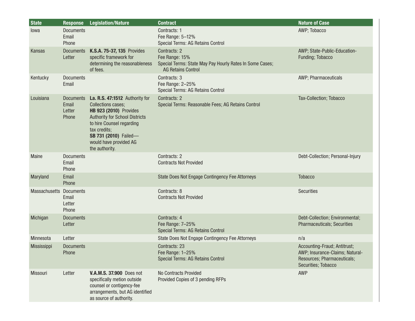| <b>State</b>            | <b>Response</b>                    | <b>Legislation/Nature</b>                                                                                                                                                                                                                                         | <b>Contract</b>                                                                                                         | <b>Nature of Case</b>                                                                                                 |
|-------------------------|------------------------------------|-------------------------------------------------------------------------------------------------------------------------------------------------------------------------------------------------------------------------------------------------------------------|-------------------------------------------------------------------------------------------------------------------------|-----------------------------------------------------------------------------------------------------------------------|
| lowa                    | <b>Documents</b><br>Email<br>Phone |                                                                                                                                                                                                                                                                   | Contracts: 1<br>Fee Range: 5-12%<br>Special Terms: AG Retains Control                                                   | AWP; Tobacco                                                                                                          |
| Kansas                  | Letter                             | Documents K.S.A. 75-37, 135 Provides<br>specific framework for<br>determining the reasonableness<br>of fees.                                                                                                                                                      | Contracts: 2<br>Fee Range: 15%<br>Special Terms: State May Pay Hourly Rates In Some Cases;<br><b>AG Retains Control</b> | AWP; State-Public-Education-<br>Funding; Tobacco                                                                      |
| Kentucky                | <b>Documents</b><br>Email          |                                                                                                                                                                                                                                                                   | Contracts: 3<br>Fee Range: 2-25%<br>Special Terms: AG Retains Control                                                   | AWP; Pharmaceuticals                                                                                                  |
| Louisiana               | Email<br>Letter<br>Phone           | Documents La. R.S. 47:1512 Authority for<br><b>Collections cases;</b><br><b>HB 923 (2010)</b> Provides<br><b>Authority for School Districts</b><br>to hire Counsel regarding<br>tax credits;<br>SB 731 (2010) Failed-<br>would have provided AG<br>the authority. | Contracts: 2<br>Special Terms: Reasonable Fees; AG Retains Control                                                      | Tax-Collection; Tobacco                                                                                               |
| Maine                   | <b>Documents</b><br>Email<br>Phone |                                                                                                                                                                                                                                                                   | Contracts: 2<br><b>Contracts Not Provided</b>                                                                           | Debt-Collection; Personal-Injury                                                                                      |
| Maryland                | Email<br>Phone                     |                                                                                                                                                                                                                                                                   | State Does Not Engage Contingency Fee Attorneys                                                                         | <b>Tobacco</b>                                                                                                        |
| Massachusetts Documents | Email<br>Letter<br>Phone           |                                                                                                                                                                                                                                                                   | Contracts: 8<br><b>Contracts Not Provided</b>                                                                           | <b>Securities</b>                                                                                                     |
| Michigan                | <b>Documents</b><br>Letter         |                                                                                                                                                                                                                                                                   | Contracts: 4<br>Fee Range: 7-25%<br>Special Terms: AG Retains Control                                                   | Debt-Collection; Environmental;<br><b>Pharmaceuticals; Securities</b>                                                 |
| Minnesota               | Letter                             |                                                                                                                                                                                                                                                                   | State Does Not Engage Contingency Fee Attorneys                                                                         | n/a                                                                                                                   |
| Mississippi             | <b>Documents</b><br>Phone          |                                                                                                                                                                                                                                                                   | Contracts: 23<br>Fee Range: 1–25%<br>Special Terms: AG Retains Control                                                  | Accounting-Fraud; Antitrust;<br>AWP; Insurance-Claims; Natural-<br>Resources; Pharmaceuticals;<br>Securities; Tobacco |
| Missouri                | Letter                             | <b>V.A.M.S. 37.900 Does not</b><br>specifically metion outside<br>counsel or contigency-fee<br>arrangements, but AG identified<br>as source of authority.                                                                                                         | <b>No Contracts Provided</b><br>Provided Copies of 3 pending RFPs                                                       | <b>AWP</b>                                                                                                            |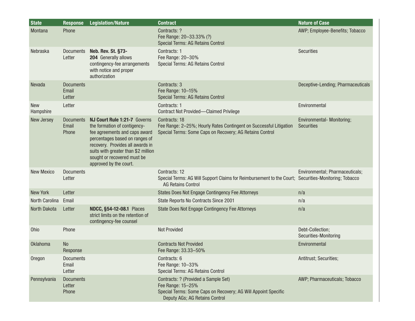| <b>State</b>            | <b>Response</b>                     | <b>Legislation/Nature</b>                                                                                                                                                                                                                                           | <b>Contract</b>                                                                                                                                               | <b>Nature of Case</b>                           |
|-------------------------|-------------------------------------|---------------------------------------------------------------------------------------------------------------------------------------------------------------------------------------------------------------------------------------------------------------------|---------------------------------------------------------------------------------------------------------------------------------------------------------------|-------------------------------------------------|
| Montana                 | Phone                               |                                                                                                                                                                                                                                                                     | Contracts: ?<br>Fee Range: 20-33.33% (?)<br>Special Terms: AG Retains Control                                                                                 | AWP; Employee-Benefits; Tobacco                 |
| Nebraska                | <b>Documents</b><br>Letter          | <b>Neb. Rev. St. §73-</b><br>204 Generally allows<br>contingency-fee arrangements<br>with notice and proper<br>authorization                                                                                                                                        | Contracts: 1<br>Fee Range: 20-30%<br>Special Terms: AG Retains Control                                                                                        | <b>Securities</b>                               |
| Nevada                  | <b>Documents</b><br>Email<br>Letter |                                                                                                                                                                                                                                                                     | Contracts: 3<br>Fee Range: 10-15%<br>Special Terms: AG Retains Control                                                                                        | Deceptive-Lending; Pharmaceuticals              |
| <b>New</b><br>Hampshire | Letter                              |                                                                                                                                                                                                                                                                     | Contracts: 1<br><b>Contract Not Provided-Claimed Privilege</b>                                                                                                | Environmental                                   |
| New Jersey              | <b>Documents</b><br>Email<br>Phone  | NJ Court Rule 1:21-7 Governs<br>the formation of contigency-<br>fee agreements and caps award<br>percentages based on ranges of<br>recovery. Provides all awards in<br>suits with greater than \$2 million<br>sought or recovered must be<br>approved by the court. | Contracts: 18<br>Fee Range: 2-25%; Hourly Rates Contingent on Successful Litigation<br>Special Terms: Some Caps on Recovery; AG Retains Control               | Environmental- Monitoring;<br><b>Securities</b> |
| <b>New Mexico</b>       | <b>Documents</b><br>Letter          |                                                                                                                                                                                                                                                                     | Contracts: 12<br>Special Terms: AG Will Support Claims for Reimbursement to the Court; Securities-Monitoring; Tobacco<br><b>AG Retains Control</b>            | Environmental; Pharmaceuticals;                 |
| <b>New York</b>         | Letter                              |                                                                                                                                                                                                                                                                     | <b>States Does Not Engage Contingency Fee Attorneys</b>                                                                                                       | n/a                                             |
| North Carolina          | Email                               |                                                                                                                                                                                                                                                                     | State Reports No Contracts Since 2001                                                                                                                         | n/a                                             |
| North Dakota            | Letter                              | <b>NDCC, §54-12-08.1 Places</b><br>strict limits on the retention of<br>contingency-fee counsel                                                                                                                                                                     | State Does Not Engage Contingency Fee Attorneys                                                                                                               | n/a                                             |
| <b>Ohio</b>             | Phone                               |                                                                                                                                                                                                                                                                     | <b>Not Provided</b>                                                                                                                                           | Debt-Collection;<br>Securities-Monitoring       |
| <b>Oklahoma</b>         | <b>No</b><br>Response               |                                                                                                                                                                                                                                                                     | <b>Contracts Not Provided</b><br>Fee Range: 33.33-50%                                                                                                         | Environmental                                   |
| Oregon                  | <b>Documents</b><br>Email<br>Letter |                                                                                                                                                                                                                                                                     | Contracts: 6<br>Fee Range: 10-33%<br>Special Terms: AG Retains Control                                                                                        | Antitrust; Securities;                          |
| Pennsylvania            | <b>Documents</b><br>Letter<br>Phone |                                                                                                                                                                                                                                                                     | Contracts: ? (Provided a Sample Set)<br>Fee Range: 15-25%<br>Special Terms: Some Caps on Recovery; AG Will Appoint Specific<br>Deputy AGs; AG Retains Control | AWP; Pharmaceuticals; Tobacco                   |